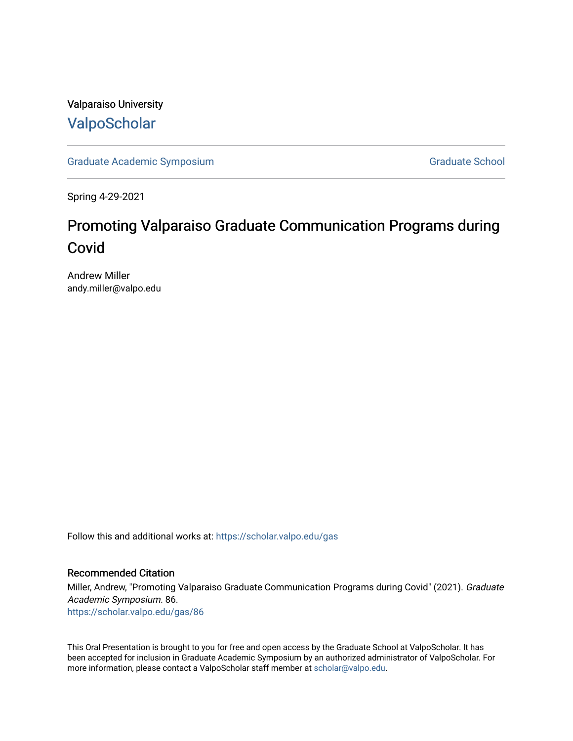Valparaiso University [ValpoScholar](https://scholar.valpo.edu/)

[Graduate Academic Symposium](https://scholar.valpo.edu/gas) [Graduate School](https://scholar.valpo.edu/grad) Graduate School

Spring 4-29-2021

## Promoting Valparaiso Graduate Communication Programs during Covid

Andrew Miller andy.miller@valpo.edu

Follow this and additional works at: [https://scholar.valpo.edu/gas](https://scholar.valpo.edu/gas?utm_source=scholar.valpo.edu%2Fgas%2F86&utm_medium=PDF&utm_campaign=PDFCoverPages) 

## Recommended Citation

Miller, Andrew, "Promoting Valparaiso Graduate Communication Programs during Covid" (2021). Graduate Academic Symposium. 86. [https://scholar.valpo.edu/gas/86](https://scholar.valpo.edu/gas/86?utm_source=scholar.valpo.edu%2Fgas%2F86&utm_medium=PDF&utm_campaign=PDFCoverPages) 

This Oral Presentation is brought to you for free and open access by the Graduate School at ValpoScholar. It has been accepted for inclusion in Graduate Academic Symposium by an authorized administrator of ValpoScholar. For more information, please contact a ValpoScholar staff member at [scholar@valpo.edu.](mailto:scholar@valpo.edu)